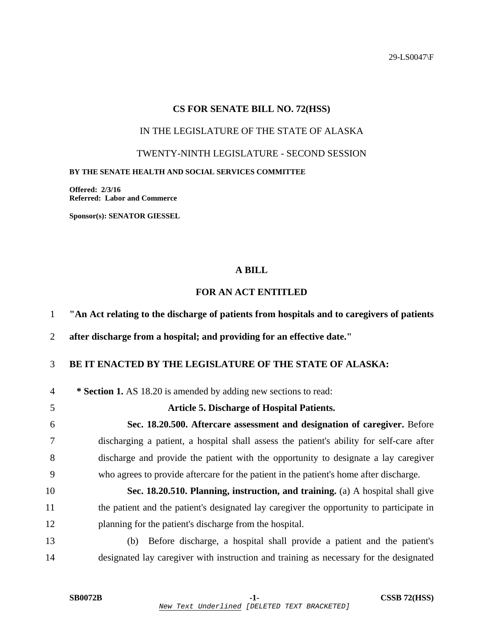29-LS0047\F

### **CS FOR SENATE BILL NO. 72(HSS)**

### IN THE LEGISLATURE OF THE STATE OF ALASKA

#### TWENTY-NINTH LEGISLATURE - SECOND SESSION

**BY THE SENATE HEALTH AND SOCIAL SERVICES COMMITTEE** 

**Offered: 2/3/16 Referred: Labor and Commerce** 

**Sponsor(s): SENATOR GIESSEL** 

## **A BILL**

# **FOR AN ACT ENTITLED**

1 **"An Act relating to the discharge of patients from hospitals and to caregivers of patients** 

2 **after discharge from a hospital; and providing for an effective date."** 

# 3 **BE IT ENACTED BY THE LEGISLATURE OF THE STATE OF ALASKA:**

4 **\* Section 1.** AS 18.20 is amended by adding new sections to read:

#### 5 **Article 5. Discharge of Hospital Patients.**

6 **Sec. 18.20.500. Aftercare assessment and designation of caregiver.** Before 7 discharging a patient, a hospital shall assess the patient's ability for self-care after 8 discharge and provide the patient with the opportunity to designate a lay caregiver 9 who agrees to provide aftercare for the patient in the patient's home after discharge.

10 **Sec. 18.20.510. Planning, instruction, and training.** (a) A hospital shall give 11 the patient and the patient's designated lay caregiver the opportunity to participate in 12 planning for the patient's discharge from the hospital.

13 (b) Before discharge, a hospital shall provide a patient and the patient's 14 designated lay caregiver with instruction and training as necessary for the designated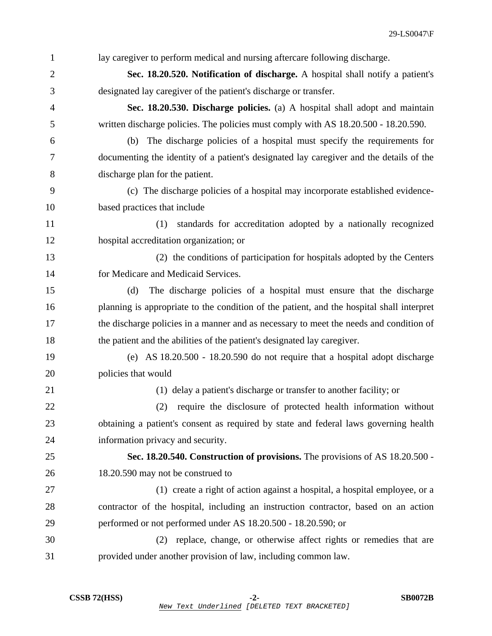| $\mathbf{1}$   | lay caregiver to perform medical and nursing aftercare following discharge.               |
|----------------|-------------------------------------------------------------------------------------------|
| $\overline{2}$ | Sec. 18.20.520. Notification of discharge. A hospital shall notify a patient's            |
| 3              | designated lay caregiver of the patient's discharge or transfer.                          |
| 4              | Sec. 18.20.530. Discharge policies. (a) A hospital shall adopt and maintain               |
| 5              | written discharge policies. The policies must comply with AS 18.20.500 - 18.20.590.       |
| 6              | (b) The discharge policies of a hospital must specify the requirements for                |
| 7              | documenting the identity of a patient's designated lay caregiver and the details of the   |
| 8              | discharge plan for the patient.                                                           |
| 9              | (c) The discharge policies of a hospital may incorporate established evidence-            |
| 10             | based practices that include                                                              |
| 11             | standards for accreditation adopted by a nationally recognized<br>(1)                     |
| 12             | hospital accreditation organization; or                                                   |
| 13             | (2) the conditions of participation for hospitals adopted by the Centers                  |
| 14             | for Medicare and Medicaid Services.                                                       |
| 15             | The discharge policies of a hospital must ensure that the discharge<br>(d)                |
| 16             | planning is appropriate to the condition of the patient, and the hospital shall interpret |
| 17             | the discharge policies in a manner and as necessary to meet the needs and condition of    |
| 18             | the patient and the abilities of the patient's designated lay caregiver.                  |
| 19             | (e) AS 18.20.500 - 18.20.590 do not require that a hospital adopt discharge               |
| 20             | policies that would                                                                       |
| 21             | (1) delay a patient's discharge or transfer to another facility; or                       |
| 22             | require the disclosure of protected health information without<br>(2)                     |
| 23             | obtaining a patient's consent as required by state and federal laws governing health      |
| 24             | information privacy and security.                                                         |
| 25             | Sec. 18.20.540. Construction of provisions. The provisions of AS 18.20.500 -              |
| 26             | 18.20.590 may not be construed to                                                         |
| 27             | (1) create a right of action against a hospital, a hospital employee, or a                |
| 28             | contractor of the hospital, including an instruction contractor, based on an action       |
| 29             | performed or not performed under AS 18.20.500 - 18.20.590; or                             |
| 30             | (2) replace, change, or otherwise affect rights or remedies that are                      |
| 31             | provided under another provision of law, including common law.                            |